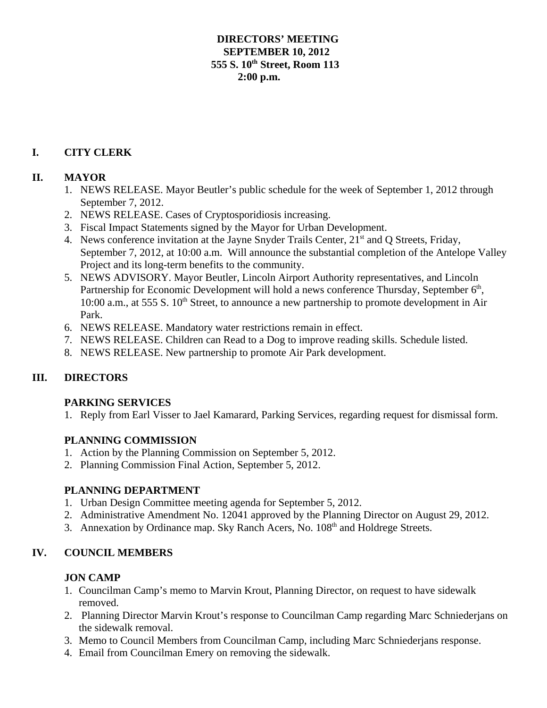### **DIRECTORS' MEETING SEPTEMBER 10, 2012 555 S. 10th Street, Room 113 2:00 p.m.**

# **I. CITY CLERK**

### **II. MAYOR**

- 1. NEWS RELEASE. Mayor Beutler's public schedule for the week of September 1, 2012 through September 7, 2012.
- 2. NEWS RELEASE. Cases of Cryptosporidiosis increasing.
- 3. Fiscal Impact Statements signed by the Mayor for Urban Development.
- 4. News conference invitation at the Jayne Snyder Trails Center, 21<sup>st</sup> and Q Streets, Friday, September 7, 2012, at 10:00 a.m. Will announce the substantial completion of the Antelope Valley Project and its long-term benefits to the community.
- 5. NEWS ADVISORY. Mayor Beutler, Lincoln Airport Authority representatives, and Lincoln Partnership for Economic Development will hold a news conference Thursday, September 6<sup>th</sup>, 10:00 a.m., at 555 S.  $10^{th}$  Street, to announce a new partnership to promote development in Air Park.
- 6. NEWS RELEASE. Mandatory water restrictions remain in effect.
- 7. NEWS RELEASE. Children can Read to a Dog to improve reading skills. Schedule listed.
- 8. NEWS RELEASE. New partnership to promote Air Park development.

## **III. DIRECTORS**

### **PARKING SERVICES**

1. Reply from Earl Visser to Jael Kamarard, Parking Services, regarding request for dismissal form.

## **PLANNING COMMISSION**

- 1. Action by the Planning Commission on September 5, 2012.
- 2. Planning Commission Final Action, September 5, 2012.

### **PLANNING DEPARTMENT**

- 1. Urban Design Committee meeting agenda for September 5, 2012.
- 2. Administrative Amendment No. 12041 approved by the Planning Director on August 29, 2012.
- 3. Annexation by Ordinance map. Sky Ranch Acers, No. 108<sup>th</sup> and Holdrege Streets.

## **IV. COUNCIL MEMBERS**

### **JON CAMP**

- 1. Councilman Camp's memo to Marvin Krout, Planning Director, on request to have sidewalk removed.
- 2. Planning Director Marvin Krout's response to Councilman Camp regarding Marc Schniederjans on the sidewalk removal.
- 3. Memo to Council Members from Councilman Camp, including Marc Schniederjans response.
- 4. Email from Councilman Emery on removing the sidewalk.